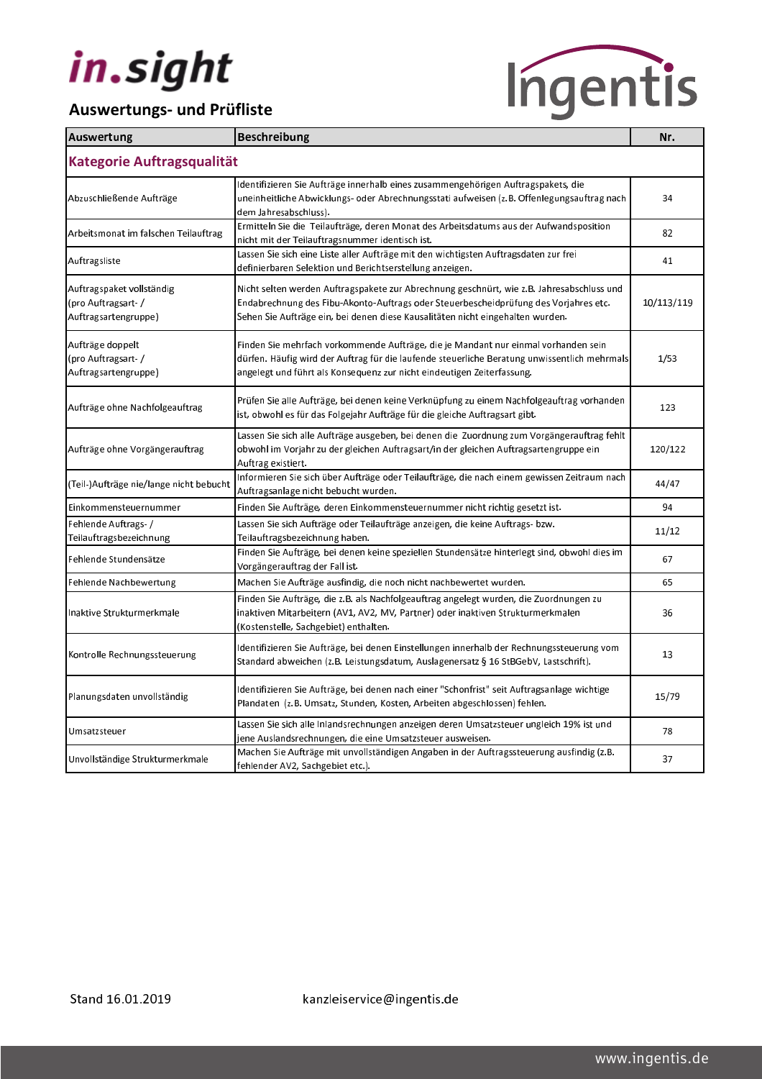

| Auswertung                                                               | <b>Beschreibung</b>                                                                                                                                                                                                                                                 | Nr.        |
|--------------------------------------------------------------------------|---------------------------------------------------------------------------------------------------------------------------------------------------------------------------------------------------------------------------------------------------------------------|------------|
| Kategorie Auftragsqualität                                               |                                                                                                                                                                                                                                                                     |            |
| Abzuschließende Aufträge                                                 | ldentifizieren Sie Aufträge innerhalb eines zusammengehörigen Auftragspakets, die<br>uneinheitliche Abwicklungs- oder Abrechnungsstati aufweisen (z.B. Offenlegungsauftrag nach<br>dem Jahresabschluss).                                                            | 34         |
| Arbeitsmonat im falschen Teilauftrag                                     | Ermitteln Sie die Teilaufträge, deren Monat des Arbeitsdatums aus der Aufwandsposition<br>nicht mit der Teilauftragsnummer identisch ist.                                                                                                                           | 82         |
| Auftragsliste                                                            | Lassen Sie sich eine Liste aller Aufträge mit den wichtigsten Auftragsdaten zur frei<br>definierbaren Selektion und Berichtserstellung anzeigen.                                                                                                                    | 41         |
| Auftragspaket vollständig<br>(pro Auftragsart- /<br>Auftragsartengruppe) | Nicht selten werden Auftragspakete zur Abrechnung geschnürt, wie z.B. Jahresabschluss und<br>Endabrechnung des Fibu-Akonto-Auftrags oder Steuerbescheidprüfung des Vorjahres etc.<br>Sehen Sie Aufträge ein, bei denen diese Kausalitäten nicht eingehalten wurden. | 10/113/119 |
| Aufträge doppelt<br>(pro Auftragsart- /<br>Auftragsartengruppe)          | Finden Sie mehrfach vorkommende Aufträge, die je Mandant nur einmal vorhanden sein<br>dürfen. Häufig wird der Auftrag für die laufende steuerliche Beratung unwissentlich mehrmals<br>angelegt und führt als Konsequenz zur nicht eindeutigen Zeiterfassung.        | 1/53       |
| Aufträge ohne Nachfolgeauftrag                                           | Prüfen Sie alle Aufträge, bei denen keine Verknüpfung zu einem Nachfolgeauftrag vorhanden<br>ist, obwohl es für das Folgejahr Aufträge für die gleiche Auftragsart gibt.                                                                                            | 123        |
| Aufträge ohne Vorgängerauftrag                                           | Lassen Sie sich alle Aufträge ausgeben, bei denen die Zuordnung zum Vorgängerauftrag fehlt<br>obwohl im Vorjahr zu der gleichen Auftragsart/in der gleichen Auftragsartengruppe ein<br>Auftrag existiert.                                                           | 120/122    |
| (Teil-)Aufträge nie/lange nicht bebucht                                  | Informieren Sie sich über Aufträge oder Teilaufträge, die nach einem gewissen Zeitraum nach<br>Auftragsanlage nicht bebucht wurden.                                                                                                                                 | 44/47      |
| Einkommensteuernummer                                                    | Finden Sie Aufträge, deren Einkommensteuernummer nicht richtig gesetzt ist.                                                                                                                                                                                         | 94         |
| Fehlende Auftrags-/<br>Teilauftragsbezeichnung                           | Lassen Sie sich Aufträge oder Teilaufträge anzeigen, die keine Auftrags- bzw.<br>Teilauftragsbezeichnung haben.                                                                                                                                                     | 11/12      |
| Fehlende Stundensätze                                                    | Finden Sie Aufträge, bei denen keine speziellen Stundensätze hinterlegt sind, obwohl dies im<br>Vorgängerauftrag der Fall ist.                                                                                                                                      | 67         |
| Fehlende Nachbewertung                                                   | Machen Sie Aufträge ausfindig, die noch nicht nachbewertet wurden.                                                                                                                                                                                                  | 65         |
| Inaktive Strukturmerkmale                                                | Finden Sie Aufträge, die z.B. als Nachfolgeauftrag angelegt wurden, die Zuordnungen zu<br>inaktiven Mitarbeitern (AV1, AV2, MV, Partner) oder inaktiven Strukturmerkmalen<br>(Kostenstelle, Sachgebiet) enthalten.                                                  | 36         |
| Kontrolle Rechnungssteuerung                                             | Identifizieren Sie Aufträge, bei denen Einstellungen innerhalb der Rechnungssteuerung vom<br>Standard abweichen (z.B. Leistungsdatum, Auslagenersatz § 16 StBGebV, Lastschrift).                                                                                    | 13         |
| Planungsdaten unvollständig                                              | ldentifizieren Sie Aufträge, bei denen nach einer "Schonfrist" seit Auftragsanlage wichtige<br>Plandaten (z.B. Umsatz, Stunden, Kosten, Arbeiten abgeschlossen) fehlen.                                                                                             | 15/79      |
| Um satzsteuer                                                            | Lassen Sie sich alle Inlandsrechnungen anzeigen deren Umsatzsteuer ungleich 19% ist und<br>jene Auslandsrechnungen, die eine Umsatzsteuer ausweisen.                                                                                                                | 78         |
| Unvollständige Strukturmerkmale                                          | Machen Sie Aufträge mit unvollständigen Angaben in der Auftragssteuerung ausfindig (z.B.<br>fehlender AV2. Sachgehiet etc.)                                                                                                                                         | 37         |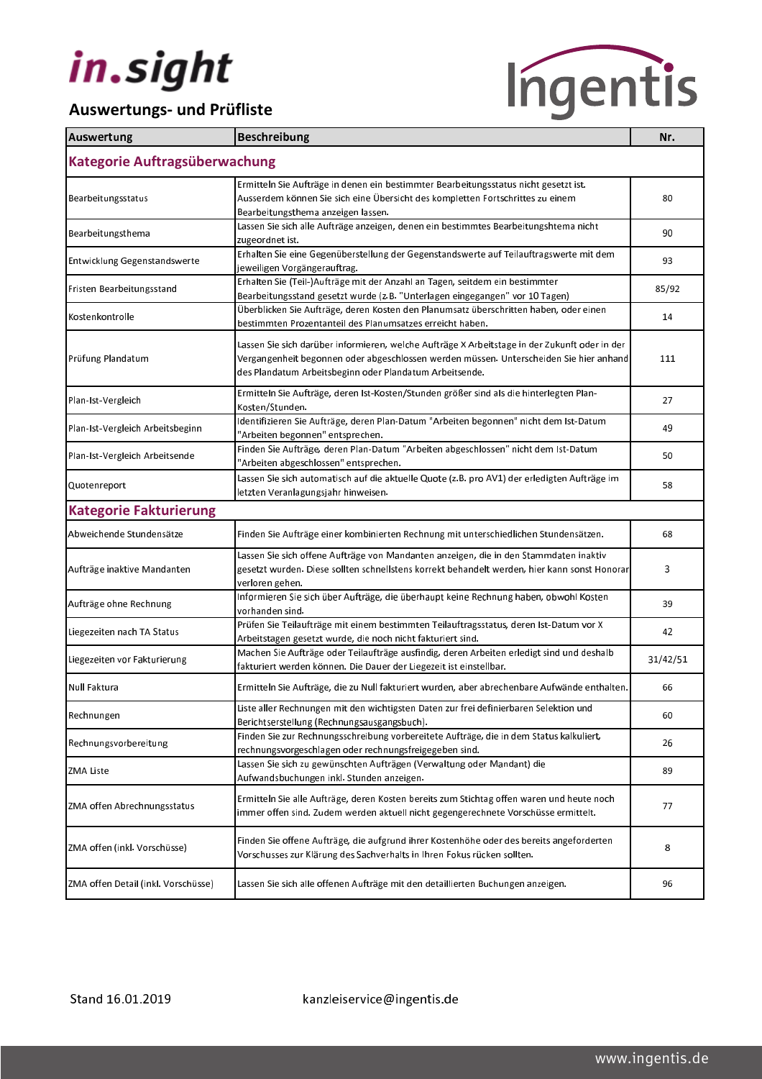

| Auswertung                          | Beschreibung                                                                                                                                                                                                                                       | Nr.      |  |  |
|-------------------------------------|----------------------------------------------------------------------------------------------------------------------------------------------------------------------------------------------------------------------------------------------------|----------|--|--|
| Kategorie Auftragsüberwachung       |                                                                                                                                                                                                                                                    |          |  |  |
| Bearbeitungsstatus                  | Ermitteln Sie Aufträge in denen ein bestimmter Bearbeitungsstatus nicht gesetzt ist.<br>Ausserdem können Sie sich eine Übersicht des kompletten Fortschrittes zu einem<br>Bearbeitungsthema anzeigen lassen.                                       | 80       |  |  |
| Bearbeitungsthema                   | Lassen Sie sich alle Aufträge anzeigen, denen ein bestimmtes Bearbeitungshtema nicht<br>zugeordnet ist.                                                                                                                                            | 90       |  |  |
| Entwicklung Gegenstandswerte        | Erhalten Sie eine Gegenüberstellung der Gegenstandswerte auf Teilauftragswerte mit dem<br>jeweiligen Vorgängerauftrag.                                                                                                                             | 93       |  |  |
| Fristen Bearbeitungsstand           | Erhalten Sie (Teil-)Aufträge mit der Anzahl an Tagen, seitdem ein bestimmter<br>Bearbeitungsstand gesetzt wurde (z.B. "Unterlagen eingegangen" vor 10 Tagen)                                                                                       | 85/92    |  |  |
| Kostenkontrolle                     | Überblicken Sie Aufträge, deren Kosten den Planumsatz überschritten haben, oder einen<br>bestimmten Prozentanteil des Planumsatzes erreicht haben.                                                                                                 | 14       |  |  |
| Prüfung Plandatum                   | Lassen Sie sich darüber informieren, welche Aufträge X Arbeitstage in der Zukunft oder in der<br>Vergangenheit begonnen oder abgeschlossen werden müssen. Unterscheiden Sie hier anhand<br>des Plandatum Arbeitsbeginn oder Plandatum Arbeitsende. | 111      |  |  |
| Plan-Ist-Vergleich                  | Ermitteln Sie Aufträge, deren Ist-Kosten/Stunden größer sind als die hinterlegten Plan-<br>Kosten/Stunden.                                                                                                                                         | 27       |  |  |
| Plan-Ist-Vergleich Arbeitsbeginn    | Identifizieren Sie Aufträge, deren Plan-Datum "Arbeiten begonnen" nicht dem Ist-Datum<br>"Arbeiten begonnen" entsprechen.                                                                                                                          | 49       |  |  |
| Plan-Ist-Vergleich Arbeitsende      | Finden Sie Aufträge, deren Plan-Datum "Arbeiten abgeschlossen" nicht dem Ist-Datum<br>"Arbeiten abgeschlossen" entsprechen.                                                                                                                        | 50       |  |  |
| Quotenreport                        | Lassen Sie sich automatisch auf die aktuelle Quote (z.B. pro AV1) der erledigten Aufträge im<br>letzten Veranlagungsjahr hinweisen.                                                                                                                | 58       |  |  |
| <b>Kategorie Fakturierung</b>       |                                                                                                                                                                                                                                                    |          |  |  |
| Abweichende Stundensätze            | Finden Sie Aufträge einer kombinierten Rechnung mit unterschiedlichen Stundensätzen.                                                                                                                                                               | 68       |  |  |
| Aufträge inaktive Mandanten         | Lassen Sie sich offene Aufträge von Mandanten anzeigen, die in den Stammdaten inaktiv<br>gesetzt wurden. Diese sollten schnellstens korrekt behandelt werden, hier kann sonst Honorar<br>verloren gehen.                                           | 3        |  |  |
| Aufträge ohne Rechnung              | Informieren Sie sich über Aufträge, die überhaupt keine Rechnung haben, obwohl Kosten<br>vorhanden sind.                                                                                                                                           | 39       |  |  |
| Liegezeiten nach TA Status          | Prüfen Sie Teilaufträge mit einem bestimmten Teilauftragsstatus, deren Ist-Datum vor X<br>Arbeitstagen gesetzt wurde, die noch nicht fakturiert sind.                                                                                              | 42       |  |  |
| Liegezeiten vor Fakturierung        | Machen Sie Aufträge oder Teilaufträge ausfindig, deren Arbeiten erledigt sind und deshalb<br>fakturiert werden können. Die Dauer der Liegezeit ist einstellbar.                                                                                    | 31/42/51 |  |  |
| Null Faktura                        | Ermitteln Sie Aufträge, die zu Null fakturiert wurden, aber abrechenbare Aufwände enthalten.                                                                                                                                                       | 66       |  |  |
| Rechnungen                          | Liste aller Rechnungen mit den wichtigsten Daten zur frei definierbaren Selektion und<br>Berichtserstellung (Rechnungsausgangsbuch).                                                                                                               | 60       |  |  |
| Rechnungsvorbereitung               | Finden Sie zur Rechnungsschreibung vorbereitete Aufträge, die in dem Status kalkuliert,<br>rechnungsvorgeschlagen oder rechnungsfreigegeben sind.                                                                                                  | 26       |  |  |
| ZMA Liste                           | Lassen Sie sich zu gewünschten Aufträgen (Verwaltung oder Mandant) die<br>Aufwandsbuchungen inkl. Stunden anzeigen.                                                                                                                                | 89       |  |  |
| ZMA offen Abrechnungsstatus         | Ermitteln Sie alle Aufträge, deren Kosten bereits zum Stichtag offen waren und heute noch<br>immer offen sind. Zudem werden aktuell nicht gegengerechnete Vorschüsse ermittelt.                                                                    | 77       |  |  |
| ZMA offen (inkl. Vorschüsse)        | Finden Sie offene Aufträge, die aufgrund ihrer Kostenhöhe oder des bereits angeforderten<br>Vorschusses zur Klärung des Sachverhalts in Ihren Fokus rücken sollten.                                                                                | 8        |  |  |
| ZMA offen Detail (inkl. Vorschüsse) | Lassen Sie sich alle offenen Aufträge mit den detaillierten Buchungen anzeigen.                                                                                                                                                                    | 96       |  |  |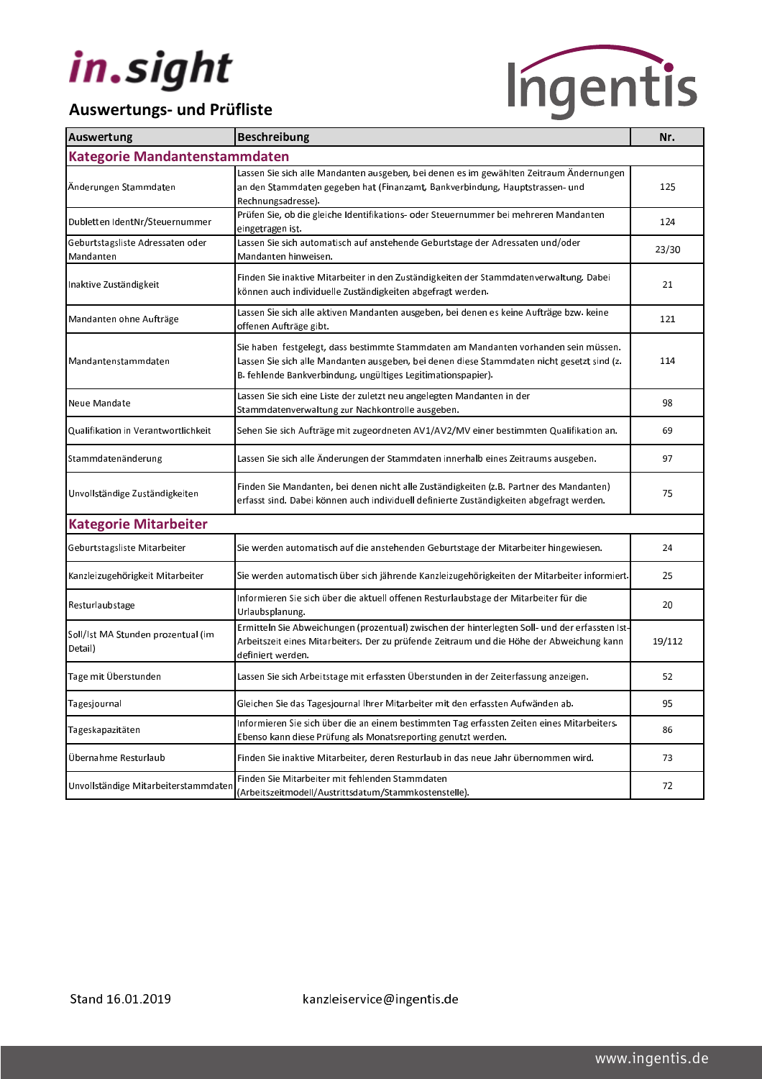

| <b>Auswertung</b>                             | Beschreibung                                                                                                                                                                                                                                      | Nr.    |  |  |
|-----------------------------------------------|---------------------------------------------------------------------------------------------------------------------------------------------------------------------------------------------------------------------------------------------------|--------|--|--|
| Kategorie Mandantenstammdaten                 |                                                                                                                                                                                                                                                   |        |  |  |
| Änderungen Stammdaten                         | Lassen Sie sich alle Mandanten ausgeben, bei denen es im gewählten Zeitraum Ändernungen<br>an den Stammdaten gegeben hat (Finanzamt, Bankverbindung, Hauptstrassen- und<br>Rechnungsadresse).                                                     | 125    |  |  |
| Dubletten IdentNr/Steuernummer                | Prüfen Sie, ob die gleiche Identifikations- oder Steuernummer bei mehreren Mandanten<br>eingetragen ist.                                                                                                                                          | 124    |  |  |
| Geburtstagsliste Adressaten oder<br>Mandanten | Lassen Sie sich automatisch auf anstehende Geburtstage der Adressaten und/oder<br>Mandanten hinweisen.                                                                                                                                            | 23/30  |  |  |
| Inaktive Zuständigkeit                        | Finden Sie inaktive Mitarbeiter in den Zuständigkeiten der Stammdatenverwaltung. Dabei<br>können auch individuelle Zuständigkeiten abgefragt werden.                                                                                              | 21     |  |  |
| Mandanten ohne Aufträge                       | Lassen Sie sich alle aktiven Mandanten ausgeben, bei denen es keine Aufträge bzw. keine<br>offenen Aufträge gibt.                                                                                                                                 | 121    |  |  |
| Mandantenstammdaten                           | Sie haben festgelegt, dass bestimmte Stammdaten am Mandanten vorhanden sein müssen.<br>Lassen Sie sich alle Mandanten ausgeben, bei denen diese Stammdaten nicht gesetzt sind (z.<br>B. fehlende Bankverbindung, ungültiges Legitimationspapier). | 114    |  |  |
| Neue Mandate                                  | Lassen Sie sich eine Liste der zuletzt neu angelegten Mandanten in der<br>Stammdatenverwaltung zur Nachkontrolle ausgeben.                                                                                                                        | 98     |  |  |
| Qualifikation in Verantwortlichkeit           | Sehen Sie sich Aufträge mit zugeordneten AV1/AV2/MV einer bestimmten Qualifikation an.                                                                                                                                                            | 69     |  |  |
| Stammdatenänderung                            | Lassen Sie sich alle Änderungen der Stammdaten innerhalb eines Zeitraums ausgeben.                                                                                                                                                                | 97     |  |  |
| Unvollständige Zuständigkeiten                | Finden Sie Mandanten, bei denen nicht alle Zuständigkeiten (z.B. Partner des Mandanten)<br>erfasst sind. Dabei können auch individuell definierte Zuständigkeiten abgefragt werden.                                                               | 75     |  |  |
| <b>Kategorie Mitarbeiter</b>                  |                                                                                                                                                                                                                                                   |        |  |  |
| Geburtstagsliste Mitarbeiter                  | Sie werden automatisch auf die anstehenden Geburtstage der Mitarbeiter hingewiesen.                                                                                                                                                               | 24     |  |  |
| Kanzleizugehörigkeit Mitarbeiter              | Sie werden automatisch über sich jährende Kanzleizugehörigkeiten der Mitarbeiter informiert.                                                                                                                                                      | 25     |  |  |
| Resturlaubstage                               | Informieren Sie sich über die aktuell offenen Resturlaubstage der Mitarbeiter für die<br>Urlaubsplanung.                                                                                                                                          | 20     |  |  |
| Soll/Ist MA Stunden prozentual (im<br>Detail) | Ermitteln Sie Abweichungen (prozentual) zwischen der hinterlegten Soll- und der erfassten Ist-<br>Arbeitszeit eines Mitarbeiters. Der zu prüfende Zeitraum und die Höhe der Abweichung kann<br>definiert werden.                                  | 19/112 |  |  |
| Tage mit Überstunden                          | Lassen Sie sich Arbeitstage mit erfassten Überstunden in der Zeiterfassung anzeigen.                                                                                                                                                              | 52     |  |  |
| Tagesjournal                                  | Gleichen Sie das Tagesjournal Ihrer Mitarbeiter mit den erfassten Aufwänden ab.                                                                                                                                                                   | 95     |  |  |
| Tageskapazitäten                              | Informieren Sie sich über die an einem bestimmten Tag erfassten Zeiten eines Mitarbeiters.<br>Ebenso kann diese Prüfung als Monatsreporting genutzt werden.                                                                                       | 86     |  |  |
| Übernahme Resturlaub                          | Finden Sie inaktive Mitarbeiter, deren Resturlaub in das neue Jahr übernommen wird.                                                                                                                                                               | 73     |  |  |
| Unvollständige Mitarbeiterstammdaten          | Finden Sie Mitarbeiter mit fehlenden Stammdaten<br>(Arbeitszeitmodell/Austrittsdatum/Stammkostenstelle).                                                                                                                                          | 72     |  |  |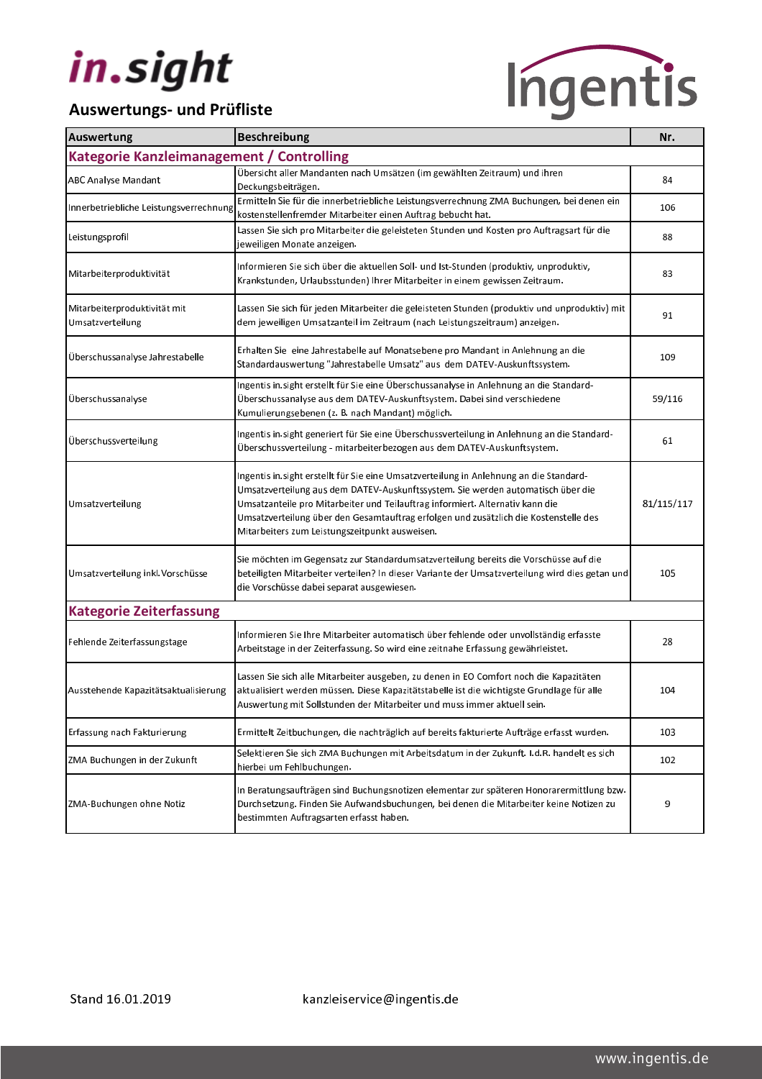

| Auswertung                                        | Beschreibung                                                                                                                                                                                                                                                                                                                                                                                         | Nr.        |  |  |
|---------------------------------------------------|------------------------------------------------------------------------------------------------------------------------------------------------------------------------------------------------------------------------------------------------------------------------------------------------------------------------------------------------------------------------------------------------------|------------|--|--|
| Kategorie Kanzleimanagement / Controlling         |                                                                                                                                                                                                                                                                                                                                                                                                      |            |  |  |
| <b>ABC Analyse Mandant</b>                        | Übersicht aller Mandanten nach Umsätzen (im gewählten Zeitraum) und ihren<br>Deckungsbeiträgen.                                                                                                                                                                                                                                                                                                      | 84         |  |  |
| Innerbetriebliche Leistungsverrechnung            | Ermitteln Sie für die innerbetriebliche Leistungsverrechnung ZMA Buchungen, bei denen ein<br>kostenstellenfremder Mitarbeiter einen Auftrag bebucht hat.                                                                                                                                                                                                                                             | 106        |  |  |
| Leistungsprofil                                   | Lassen Sie sich pro Mitarbeiter die geleisteten Stunden und Kosten pro Auftragsart für die<br>jeweiligen Monate anzeigen.                                                                                                                                                                                                                                                                            | 88         |  |  |
| Mitarbeiterproduktivität                          | Informieren Sie sich über die aktuellen Soll- und Ist-Stunden (produktiv, unproduktiv,<br>Krankstunden, Urlaubsstunden) Ihrer Mitarbeiter in einem gewissen Zeitraum.                                                                                                                                                                                                                                | 83         |  |  |
| Mitarbeiterproduktivität mit<br>Um satzverteilung | Lassen Sie sich für jeden Mitarbeiter die geleisteten Stunden (produktiv und unproduktiv) mit<br>dem jeweiligen Umsatzanteil im Zeitraum (nach Leistungszeitraum) anzeigen.                                                                                                                                                                                                                          | 91         |  |  |
| Überschussanalyse Jahrestabelle                   | Erhalten Sie eine Jahrestabelle auf Monatsebene pro Mandant in Anlehnung an die<br>Standardauswertung "Jahrestabelle Umsatz" aus dem DATEV-Auskunftssystem.                                                                                                                                                                                                                                          | 109        |  |  |
| Überschussanalyse                                 | Ingentis in sight erstellt für Sie eine Überschussanalyse in Anlehnung an die Standard-<br>Überschussanalyse aus dem DATEV-Auskunftsystem. Dabei sind verschiedene<br>Kumulierungsebenen (z. B. nach Mandant) möglich.                                                                                                                                                                               | 59/116     |  |  |
| Überschussverteilung                              | Ingentis in sight generiert für Sie eine Überschussverteilung in Anlehnung an die Standard-<br>Überschussverteilung - mitarbeiterbezogen aus dem DATEV-Auskunftsystem.                                                                                                                                                                                                                               | 61         |  |  |
| Um satzverteilung                                 | Ingentis in sight erstellt für Sie eine Umsatzverteilung in Anlehnung an die Standard-<br>Umsatzverteilung aus dem DATEV-Auskunftssystem. Sie werden automatisch über die<br>Umsatzanteile pro Mitarbeiter und Teilauftrag informiert. Alternativ kann die<br>Umsatzverteilung über den Gesamtauftrag erfolgen und zusätzlich die Kostenstelle des<br>Mitarbeiters zum Leistungszeitpunkt ausweisen. | 81/115/117 |  |  |
| Um satzverteilung inkl. Vorschüsse                | Sie möchten im Gegensatz zur Standardumsatzverteilung bereits die Vorschüsse auf die<br>beteiligten Mitarbeiter verteilen? In dieser Variante der Umsatzverteilung wird dies getan und<br>die Vorschüsse dabei separat ausgewiesen.                                                                                                                                                                  | 105        |  |  |
| <b>Kategorie Zeiterfassung</b>                    |                                                                                                                                                                                                                                                                                                                                                                                                      |            |  |  |
| Fehlende Zeiterfassungstage                       | Informieren Sie Ihre Mitarbeiter automatisch über fehlende oder unvollständig erfasste<br>Arbeitstage in der Zeiterfassung. So wird eine zeitnahe Erfassung gewährleistet.                                                                                                                                                                                                                           | 28         |  |  |
| Ausstehende Kapazitätsaktualisierung              | Lassen Sie sich alle Mitarbeiter ausgeben, zu denen in EO Comfort noch die Kapazitäten<br>aktualisiert werden müssen. Diese Kapazitätstabelle ist die wichtigste Grundlage für alle<br>Auswertung mit Sollstunden der Mitarbeiter und muss immer aktuell sein.                                                                                                                                       | 104        |  |  |
| Erfassung nach Fakturierung                       | Ermittelt Zeitbuchungen, die nachträglich auf bereits fakturierte Aufträge erfasst wurden.                                                                                                                                                                                                                                                                                                           | 103        |  |  |
| ZMA Buchungen in der Zukunft                      | Selektieren Sie sich ZMA Buchungen mit Arbeitsdatum in der Zukunft. I.d.R. handelt es sich<br>hierbei um Fehlbuchungen.                                                                                                                                                                                                                                                                              | 102        |  |  |
| ZMA-Buchungen ohne Notiz                          | In Beratungsaufträgen sind Buchungsnotizen elementar zur späteren Honorarermittlung bzw.<br>Durchsetzung. Finden Sie Aufwandsbuchungen, bei denen die Mitarbeiter keine Notizen zu<br>bestimmten Auftragsarten erfasst haben.                                                                                                                                                                        | 9          |  |  |